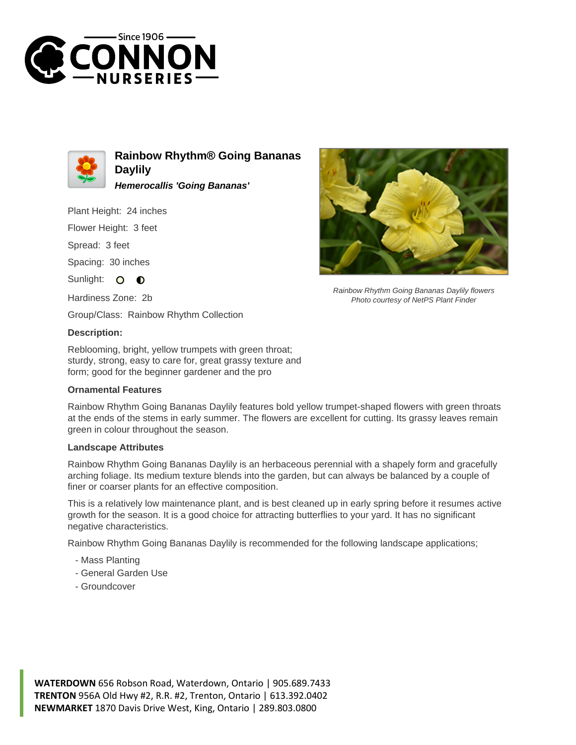



**Rainbow Rhythm® Going Bananas Daylily Hemerocallis 'Going Bananas'**

Plant Height: 24 inches

Flower Height: 3 feet

Spread: 3 feet

Spacing: 30 inches

Sunlight: O  $\bullet$ 

Hardiness Zone: 2b

Group/Class: Rainbow Rhythm Collection

## **Description:**

Reblooming, bright, yellow trumpets with green throat; sturdy, strong, easy to care for, great grassy texture and form; good for the beginner gardener and the pro

## **Ornamental Features**

Rainbow Rhythm Going Bananas Daylily features bold yellow trumpet-shaped flowers with green throats at the ends of the stems in early summer. The flowers are excellent for cutting. Its grassy leaves remain green in colour throughout the season.

## **Landscape Attributes**

Rainbow Rhythm Going Bananas Daylily is an herbaceous perennial with a shapely form and gracefully arching foliage. Its medium texture blends into the garden, but can always be balanced by a couple of finer or coarser plants for an effective composition.

This is a relatively low maintenance plant, and is best cleaned up in early spring before it resumes active growth for the season. It is a good choice for attracting butterflies to your yard. It has no significant negative characteristics.

Rainbow Rhythm Going Bananas Daylily is recommended for the following landscape applications;

- Mass Planting
- General Garden Use
- Groundcover



Rainbow Rhythm Going Bananas Daylily flowers Photo courtesy of NetPS Plant Finder

**WATERDOWN** 656 Robson Road, Waterdown, Ontario | 905.689.7433 **TRENTON** 956A Old Hwy #2, R.R. #2, Trenton, Ontario | 613.392.0402 **NEWMARKET** 1870 Davis Drive West, King, Ontario | 289.803.0800